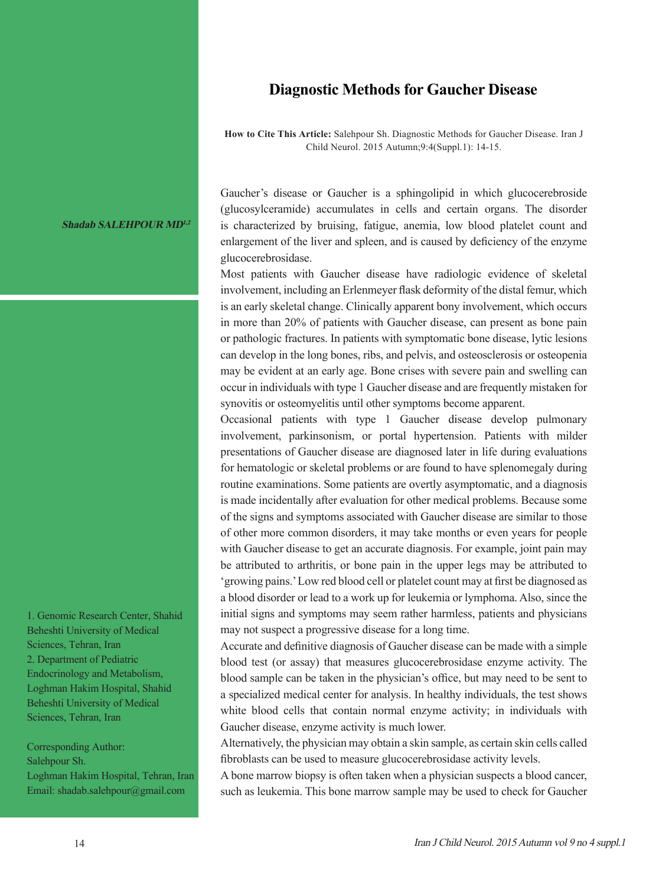## **Diagnostic Methods for Gaucher Disease**

**How to Cite This Article:** Salehpour Sh. Diagnostic Methods for Gaucher Disease. Iran J Child Neurol. 2015 Autumn;9:4(Suppl.1): 14-15.

**Shadab SALEHPOUR MD1,2**

(glucosylceramide) accumulates in cells and certain organs. The disorder is characterized by bruising, fatigue, anemia, low blood platelet count and enlargement of the liver and spleen, and is caused by deficiency of the enzyme glucocerebrosidase. Most patients with Gaucher disease have radiologic evidence of skeletal

Gaucher's disease or Gaucher is a sphingolipid in which glucocerebroside

involvement, including an Erlenmeyer flask deformity of the distal femur, which is an early skeletal change. Clinically apparent bony involvement, which occurs in more than 20% of patients with Gaucher disease, can present as bone pain or pathologic fractures. In patients with symptomatic bone disease, lytic lesions can develop in the long bones, ribs, and pelvis, and osteosclerosis or osteopenia may be evident at an early age. Bone crises with severe pain and swelling can occur in individuals with type 1 Gaucher disease and are frequently mistaken for synovitis or osteomyelitis until other symptoms become apparent.

Occasional patients with type 1 Gaucher disease develop pulmonary involvement, parkinsonism, or portal hypertension. Patients with milder presentations of Gaucher disease are diagnosed later in life during evaluations for hematologic or skeletal problems or are found to have splenomegaly during routine examinations. Some patients are overtly asymptomatic, and a diagnosis is made incidentally after evaluation for other medical problems. Because some of the signs and symptoms associated with Gaucher disease are similar to those of other more common disorders, it may take months or even years for people with Gaucher disease to get an accurate diagnosis. For example, joint pain may be attributed to arthritis, or bone pain in the upper legs may be attributed to 'growing pains.' Low red blood cell or platelet count may at first be diagnosed as a blood disorder or lead to a work up for leukemia or lymphoma. Also, since the initial signs and symptoms may seem rather harmless, patients and physicians may not suspect a progressive disease for a long time.

Accurate and definitive diagnosis of Gaucher disease can be made with a simple blood test (or assay) that measures glucocerebrosidase enzyme activity. The blood sample can be taken in the physician's office, but may need to be sent to a specialized medical center for analysis. In healthy individuals, the test shows white blood cells that contain normal enzyme activity; in individuals with Gaucher disease, enzyme activity is much lower.

Alternatively, the physician may obtain a skin sample, as certain skin cells called fibroblasts can be used to measure glucocerebrosidase activity levels.

A bone marrow biopsy is often taken when a physician suspects a blood cancer, such as leukemia. This bone marrow sample may be used to check for Gaucher

1. Genomic Research Center, Shahid Beheshti University of Medical Sciences, Tehran, Iran 2. Department of Pediatric Endocrinology and Metabolism, Loghman Hakim Hospital, Shahid Beheshti University of Medical Sciences, Tehran, Iran

Corresponding Author: Salehpour Sh. Loghman Hakim Hospital, Tehran, Iran Email: shadab.salehpour@gmail.com